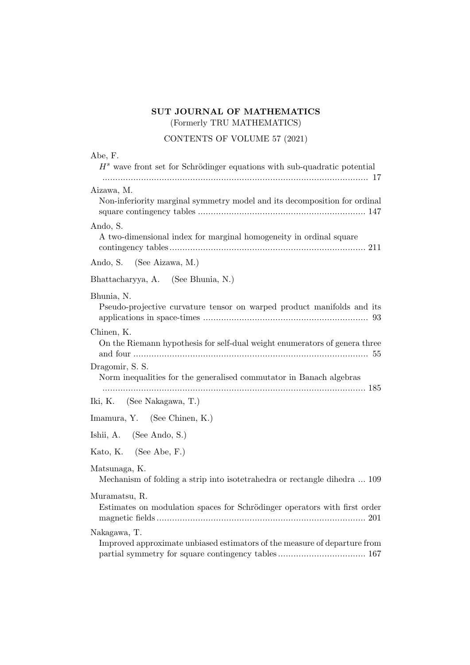## **SUT JOURNAL OF MATHEMATICS** (Formerly TRU MATHEMATICS)

CONTENTS OF VOLUME 57 (2021)

| Abe, F.<br>$Hs$ wave front set for Schrödinger equations with sub-quadratic potential      |
|--------------------------------------------------------------------------------------------|
| Aizawa, M.<br>Non-inferiority marginal symmetry model and its decomposition for ordinal    |
| Ando, S.<br>A two-dimensional index for marginal homogeneity in ordinal square             |
| Ando, S. (See Aizawa, M.)                                                                  |
| Bhattacharyya, A. (See Bhunia, N.)                                                         |
| Bhunia, N.<br>Pseudo-projective curvature tensor on warped product manifolds and its       |
| Chinen, K.<br>On the Riemann hypothesis for self-dual weight enumerators of genera three   |
| Dragomir, S. S.<br>Norm inequalities for the generalised commutator in Banach algebras     |
| Iki, K. (See Nakagawa, T.)                                                                 |
| Imamura, Y. (See Chinen, K.)                                                               |
| Ishii, A. (See Ando, S.)                                                                   |
| Kato, K. (See Abe, F.)                                                                     |
| Matsunaga, K.<br>Mechanism of folding a strip into isotetrahedra or rectangle dihedra  109 |
| Muramatsu, R.<br>Estimates on modulation spaces for Schrödinger operators with first order |
| Nakagawa, T.<br>Improved approximate unbiased estimators of the measure of departure from  |